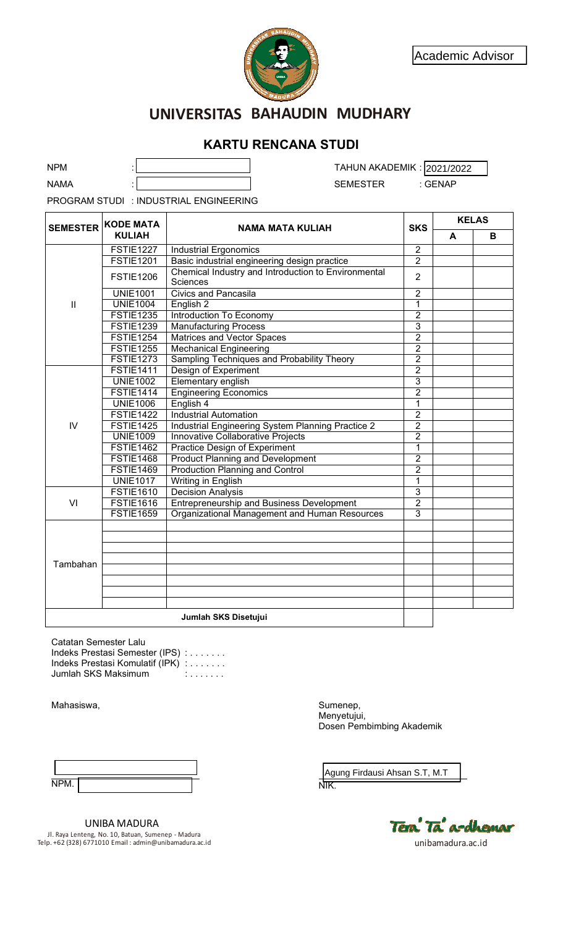

# **UNIVERSITAS BAHAUDIN MUDHARY**

## **KARTU RENCANA STUDI**

| <b>NPM</b><br>TAHUN AKADEMIK: 2021/2022<br><b>NAMA</b><br><b>SEMESTER</b><br>: GENAP<br>PROGRAM STUDI : INDUSTRIAL ENGINEERING<br><b>KELAS</b><br><b>KODE MATA</b><br><b>SEMESTER</b><br><b>SKS</b><br><b>NAMA MATA KULIAH</b><br><b>KULIAH</b><br>A<br>B<br><b>FSTIE1227</b><br><b>Industrial Ergonomics</b><br>$\overline{c}$<br>$\overline{2}$<br><b>FSTIE1201</b><br>Basic industrial engineering design practice<br>Chemical Industry and Introduction to Environmental<br>$\overline{2}$<br><b>FSTIE1206</b><br><b>Sciences</b><br><b>Civics and Pancasila</b><br>$\overline{2}$<br><b>UNIE1001</b><br>$\overline{1}$<br><b>UNIE1004</b><br>English <sub>2</sub><br>$\mathbf{  }$<br>$\overline{2}$<br><b>Introduction To Economy</b><br><b>FSTIE1235</b><br>$\overline{3}$<br><b>FSTIE1239</b><br><b>Manufacturing Process</b><br>$\overline{2}$<br>Matrices and Vector Spaces<br><b>FSTIE1254</b><br>$\overline{2}$<br><b>FSTIE1255</b><br><b>Mechanical Engineering</b><br>Sampling Techniques and Probability Theory<br>$\overline{2}$<br><b>FSTIE1273</b><br>$\overline{2}$<br><b>FSTIE1411</b><br>Design of Experiment<br>3<br><b>UNIE1002</b><br><b>Elementary english</b><br>$\overline{2}$<br><b>FSTIE1414</b><br><b>Engineering Economics</b><br><b>UNIE1006</b><br>English 4<br>$\mathbf 1$<br>$\overline{2}$<br><b>FSTIE1422</b><br><b>Industrial Automation</b><br>Industrial Engineering System Planning Practice 2<br>$\overline{2}$<br>IV<br><b>FSTIE1425</b><br>$\overline{2}$<br><b>UNIE1009</b><br>Innovative Collaborative Projects<br><b>FSTIE1462</b><br><b>Practice Design of Experiment</b><br>$\mathbf 1$<br>$\overline{2}$<br><b>FSTIE1468</b><br><b>Product Planning and Development</b><br><b>FSTIE1469</b><br><b>Production Planning and Control</b><br>$\overline{2}$<br><b>UNIE1017</b><br>$\mathbf 1$<br>Writing in English<br>$\overline{3}$<br><b>FSTIE1610</b><br><b>Decision Analysis</b><br>$\overline{2}$<br><b>FSTIE1616</b><br><b>Entrepreneurship and Business Development</b><br>VI<br>$\overline{3}$<br><b>FSTIE1659</b><br>Organizational Management and Human Resources<br>Tambahan<br>Jumlah SKS Disetujui<br>Catatan Semester Lalu<br>Indeks Prestasi Semester (IPS) :<br>Indeks Prestasi Komulatif (IPK) :<br>Jumlah SKS Maksimum<br>Sumenep,<br>Mahasiswa,<br>Menyetujui,<br>Dosen Pembimbing Akademik |  | <b>KARTU RENCANA STUDI</b> |  |  |
|---------------------------------------------------------------------------------------------------------------------------------------------------------------------------------------------------------------------------------------------------------------------------------------------------------------------------------------------------------------------------------------------------------------------------------------------------------------------------------------------------------------------------------------------------------------------------------------------------------------------------------------------------------------------------------------------------------------------------------------------------------------------------------------------------------------------------------------------------------------------------------------------------------------------------------------------------------------------------------------------------------------------------------------------------------------------------------------------------------------------------------------------------------------------------------------------------------------------------------------------------------------------------------------------------------------------------------------------------------------------------------------------------------------------------------------------------------------------------------------------------------------------------------------------------------------------------------------------------------------------------------------------------------------------------------------------------------------------------------------------------------------------------------------------------------------------------------------------------------------------------------------------------------------------------------------------------------------------------------------------------------------------------------------------------------------------------------------------------------------------------------------------------------------------------------------------------------------------------------------------------------------------------------------------------------------------------------------------------------------|--|----------------------------|--|--|
|                                                                                                                                                                                                                                                                                                                                                                                                                                                                                                                                                                                                                                                                                                                                                                                                                                                                                                                                                                                                                                                                                                                                                                                                                                                                                                                                                                                                                                                                                                                                                                                                                                                                                                                                                                                                                                                                                                                                                                                                                                                                                                                                                                                                                                                                                                                                                               |  |                            |  |  |
|                                                                                                                                                                                                                                                                                                                                                                                                                                                                                                                                                                                                                                                                                                                                                                                                                                                                                                                                                                                                                                                                                                                                                                                                                                                                                                                                                                                                                                                                                                                                                                                                                                                                                                                                                                                                                                                                                                                                                                                                                                                                                                                                                                                                                                                                                                                                                               |  |                            |  |  |
|                                                                                                                                                                                                                                                                                                                                                                                                                                                                                                                                                                                                                                                                                                                                                                                                                                                                                                                                                                                                                                                                                                                                                                                                                                                                                                                                                                                                                                                                                                                                                                                                                                                                                                                                                                                                                                                                                                                                                                                                                                                                                                                                                                                                                                                                                                                                                               |  |                            |  |  |
|                                                                                                                                                                                                                                                                                                                                                                                                                                                                                                                                                                                                                                                                                                                                                                                                                                                                                                                                                                                                                                                                                                                                                                                                                                                                                                                                                                                                                                                                                                                                                                                                                                                                                                                                                                                                                                                                                                                                                                                                                                                                                                                                                                                                                                                                                                                                                               |  |                            |  |  |
|                                                                                                                                                                                                                                                                                                                                                                                                                                                                                                                                                                                                                                                                                                                                                                                                                                                                                                                                                                                                                                                                                                                                                                                                                                                                                                                                                                                                                                                                                                                                                                                                                                                                                                                                                                                                                                                                                                                                                                                                                                                                                                                                                                                                                                                                                                                                                               |  |                            |  |  |
|                                                                                                                                                                                                                                                                                                                                                                                                                                                                                                                                                                                                                                                                                                                                                                                                                                                                                                                                                                                                                                                                                                                                                                                                                                                                                                                                                                                                                                                                                                                                                                                                                                                                                                                                                                                                                                                                                                                                                                                                                                                                                                                                                                                                                                                                                                                                                               |  |                            |  |  |
|                                                                                                                                                                                                                                                                                                                                                                                                                                                                                                                                                                                                                                                                                                                                                                                                                                                                                                                                                                                                                                                                                                                                                                                                                                                                                                                                                                                                                                                                                                                                                                                                                                                                                                                                                                                                                                                                                                                                                                                                                                                                                                                                                                                                                                                                                                                                                               |  |                            |  |  |
|                                                                                                                                                                                                                                                                                                                                                                                                                                                                                                                                                                                                                                                                                                                                                                                                                                                                                                                                                                                                                                                                                                                                                                                                                                                                                                                                                                                                                                                                                                                                                                                                                                                                                                                                                                                                                                                                                                                                                                                                                                                                                                                                                                                                                                                                                                                                                               |  |                            |  |  |
|                                                                                                                                                                                                                                                                                                                                                                                                                                                                                                                                                                                                                                                                                                                                                                                                                                                                                                                                                                                                                                                                                                                                                                                                                                                                                                                                                                                                                                                                                                                                                                                                                                                                                                                                                                                                                                                                                                                                                                                                                                                                                                                                                                                                                                                                                                                                                               |  |                            |  |  |
|                                                                                                                                                                                                                                                                                                                                                                                                                                                                                                                                                                                                                                                                                                                                                                                                                                                                                                                                                                                                                                                                                                                                                                                                                                                                                                                                                                                                                                                                                                                                                                                                                                                                                                                                                                                                                                                                                                                                                                                                                                                                                                                                                                                                                                                                                                                                                               |  |                            |  |  |
|                                                                                                                                                                                                                                                                                                                                                                                                                                                                                                                                                                                                                                                                                                                                                                                                                                                                                                                                                                                                                                                                                                                                                                                                                                                                                                                                                                                                                                                                                                                                                                                                                                                                                                                                                                                                                                                                                                                                                                                                                                                                                                                                                                                                                                                                                                                                                               |  |                            |  |  |
|                                                                                                                                                                                                                                                                                                                                                                                                                                                                                                                                                                                                                                                                                                                                                                                                                                                                                                                                                                                                                                                                                                                                                                                                                                                                                                                                                                                                                                                                                                                                                                                                                                                                                                                                                                                                                                                                                                                                                                                                                                                                                                                                                                                                                                                                                                                                                               |  |                            |  |  |
|                                                                                                                                                                                                                                                                                                                                                                                                                                                                                                                                                                                                                                                                                                                                                                                                                                                                                                                                                                                                                                                                                                                                                                                                                                                                                                                                                                                                                                                                                                                                                                                                                                                                                                                                                                                                                                                                                                                                                                                                                                                                                                                                                                                                                                                                                                                                                               |  |                            |  |  |
|                                                                                                                                                                                                                                                                                                                                                                                                                                                                                                                                                                                                                                                                                                                                                                                                                                                                                                                                                                                                                                                                                                                                                                                                                                                                                                                                                                                                                                                                                                                                                                                                                                                                                                                                                                                                                                                                                                                                                                                                                                                                                                                                                                                                                                                                                                                                                               |  |                            |  |  |
|                                                                                                                                                                                                                                                                                                                                                                                                                                                                                                                                                                                                                                                                                                                                                                                                                                                                                                                                                                                                                                                                                                                                                                                                                                                                                                                                                                                                                                                                                                                                                                                                                                                                                                                                                                                                                                                                                                                                                                                                                                                                                                                                                                                                                                                                                                                                                               |  |                            |  |  |
|                                                                                                                                                                                                                                                                                                                                                                                                                                                                                                                                                                                                                                                                                                                                                                                                                                                                                                                                                                                                                                                                                                                                                                                                                                                                                                                                                                                                                                                                                                                                                                                                                                                                                                                                                                                                                                                                                                                                                                                                                                                                                                                                                                                                                                                                                                                                                               |  |                            |  |  |
|                                                                                                                                                                                                                                                                                                                                                                                                                                                                                                                                                                                                                                                                                                                                                                                                                                                                                                                                                                                                                                                                                                                                                                                                                                                                                                                                                                                                                                                                                                                                                                                                                                                                                                                                                                                                                                                                                                                                                                                                                                                                                                                                                                                                                                                                                                                                                               |  |                            |  |  |
|                                                                                                                                                                                                                                                                                                                                                                                                                                                                                                                                                                                                                                                                                                                                                                                                                                                                                                                                                                                                                                                                                                                                                                                                                                                                                                                                                                                                                                                                                                                                                                                                                                                                                                                                                                                                                                                                                                                                                                                                                                                                                                                                                                                                                                                                                                                                                               |  |                            |  |  |
|                                                                                                                                                                                                                                                                                                                                                                                                                                                                                                                                                                                                                                                                                                                                                                                                                                                                                                                                                                                                                                                                                                                                                                                                                                                                                                                                                                                                                                                                                                                                                                                                                                                                                                                                                                                                                                                                                                                                                                                                                                                                                                                                                                                                                                                                                                                                                               |  |                            |  |  |
|                                                                                                                                                                                                                                                                                                                                                                                                                                                                                                                                                                                                                                                                                                                                                                                                                                                                                                                                                                                                                                                                                                                                                                                                                                                                                                                                                                                                                                                                                                                                                                                                                                                                                                                                                                                                                                                                                                                                                                                                                                                                                                                                                                                                                                                                                                                                                               |  |                            |  |  |
|                                                                                                                                                                                                                                                                                                                                                                                                                                                                                                                                                                                                                                                                                                                                                                                                                                                                                                                                                                                                                                                                                                                                                                                                                                                                                                                                                                                                                                                                                                                                                                                                                                                                                                                                                                                                                                                                                                                                                                                                                                                                                                                                                                                                                                                                                                                                                               |  |                            |  |  |
|                                                                                                                                                                                                                                                                                                                                                                                                                                                                                                                                                                                                                                                                                                                                                                                                                                                                                                                                                                                                                                                                                                                                                                                                                                                                                                                                                                                                                                                                                                                                                                                                                                                                                                                                                                                                                                                                                                                                                                                                                                                                                                                                                                                                                                                                                                                                                               |  |                            |  |  |
|                                                                                                                                                                                                                                                                                                                                                                                                                                                                                                                                                                                                                                                                                                                                                                                                                                                                                                                                                                                                                                                                                                                                                                                                                                                                                                                                                                                                                                                                                                                                                                                                                                                                                                                                                                                                                                                                                                                                                                                                                                                                                                                                                                                                                                                                                                                                                               |  |                            |  |  |
|                                                                                                                                                                                                                                                                                                                                                                                                                                                                                                                                                                                                                                                                                                                                                                                                                                                                                                                                                                                                                                                                                                                                                                                                                                                                                                                                                                                                                                                                                                                                                                                                                                                                                                                                                                                                                                                                                                                                                                                                                                                                                                                                                                                                                                                                                                                                                               |  |                            |  |  |
|                                                                                                                                                                                                                                                                                                                                                                                                                                                                                                                                                                                                                                                                                                                                                                                                                                                                                                                                                                                                                                                                                                                                                                                                                                                                                                                                                                                                                                                                                                                                                                                                                                                                                                                                                                                                                                                                                                                                                                                                                                                                                                                                                                                                                                                                                                                                                               |  |                            |  |  |
|                                                                                                                                                                                                                                                                                                                                                                                                                                                                                                                                                                                                                                                                                                                                                                                                                                                                                                                                                                                                                                                                                                                                                                                                                                                                                                                                                                                                                                                                                                                                                                                                                                                                                                                                                                                                                                                                                                                                                                                                                                                                                                                                                                                                                                                                                                                                                               |  |                            |  |  |
|                                                                                                                                                                                                                                                                                                                                                                                                                                                                                                                                                                                                                                                                                                                                                                                                                                                                                                                                                                                                                                                                                                                                                                                                                                                                                                                                                                                                                                                                                                                                                                                                                                                                                                                                                                                                                                                                                                                                                                                                                                                                                                                                                                                                                                                                                                                                                               |  |                            |  |  |
|                                                                                                                                                                                                                                                                                                                                                                                                                                                                                                                                                                                                                                                                                                                                                                                                                                                                                                                                                                                                                                                                                                                                                                                                                                                                                                                                                                                                                                                                                                                                                                                                                                                                                                                                                                                                                                                                                                                                                                                                                                                                                                                                                                                                                                                                                                                                                               |  |                            |  |  |
|                                                                                                                                                                                                                                                                                                                                                                                                                                                                                                                                                                                                                                                                                                                                                                                                                                                                                                                                                                                                                                                                                                                                                                                                                                                                                                                                                                                                                                                                                                                                                                                                                                                                                                                                                                                                                                                                                                                                                                                                                                                                                                                                                                                                                                                                                                                                                               |  |                            |  |  |
|                                                                                                                                                                                                                                                                                                                                                                                                                                                                                                                                                                                                                                                                                                                                                                                                                                                                                                                                                                                                                                                                                                                                                                                                                                                                                                                                                                                                                                                                                                                                                                                                                                                                                                                                                                                                                                                                                                                                                                                                                                                                                                                                                                                                                                                                                                                                                               |  |                            |  |  |
|                                                                                                                                                                                                                                                                                                                                                                                                                                                                                                                                                                                                                                                                                                                                                                                                                                                                                                                                                                                                                                                                                                                                                                                                                                                                                                                                                                                                                                                                                                                                                                                                                                                                                                                                                                                                                                                                                                                                                                                                                                                                                                                                                                                                                                                                                                                                                               |  |                            |  |  |
|                                                                                                                                                                                                                                                                                                                                                                                                                                                                                                                                                                                                                                                                                                                                                                                                                                                                                                                                                                                                                                                                                                                                                                                                                                                                                                                                                                                                                                                                                                                                                                                                                                                                                                                                                                                                                                                                                                                                                                                                                                                                                                                                                                                                                                                                                                                                                               |  |                            |  |  |
|                                                                                                                                                                                                                                                                                                                                                                                                                                                                                                                                                                                                                                                                                                                                                                                                                                                                                                                                                                                                                                                                                                                                                                                                                                                                                                                                                                                                                                                                                                                                                                                                                                                                                                                                                                                                                                                                                                                                                                                                                                                                                                                                                                                                                                                                                                                                                               |  |                            |  |  |
|                                                                                                                                                                                                                                                                                                                                                                                                                                                                                                                                                                                                                                                                                                                                                                                                                                                                                                                                                                                                                                                                                                                                                                                                                                                                                                                                                                                                                                                                                                                                                                                                                                                                                                                                                                                                                                                                                                                                                                                                                                                                                                                                                                                                                                                                                                                                                               |  |                            |  |  |
|                                                                                                                                                                                                                                                                                                                                                                                                                                                                                                                                                                                                                                                                                                                                                                                                                                                                                                                                                                                                                                                                                                                                                                                                                                                                                                                                                                                                                                                                                                                                                                                                                                                                                                                                                                                                                                                                                                                                                                                                                                                                                                                                                                                                                                                                                                                                                               |  |                            |  |  |
|                                                                                                                                                                                                                                                                                                                                                                                                                                                                                                                                                                                                                                                                                                                                                                                                                                                                                                                                                                                                                                                                                                                                                                                                                                                                                                                                                                                                                                                                                                                                                                                                                                                                                                                                                                                                                                                                                                                                                                                                                                                                                                                                                                                                                                                                                                                                                               |  |                            |  |  |
|                                                                                                                                                                                                                                                                                                                                                                                                                                                                                                                                                                                                                                                                                                                                                                                                                                                                                                                                                                                                                                                                                                                                                                                                                                                                                                                                                                                                                                                                                                                                                                                                                                                                                                                                                                                                                                                                                                                                                                                                                                                                                                                                                                                                                                                                                                                                                               |  |                            |  |  |
|                                                                                                                                                                                                                                                                                                                                                                                                                                                                                                                                                                                                                                                                                                                                                                                                                                                                                                                                                                                                                                                                                                                                                                                                                                                                                                                                                                                                                                                                                                                                                                                                                                                                                                                                                                                                                                                                                                                                                                                                                                                                                                                                                                                                                                                                                                                                                               |  |                            |  |  |
|                                                                                                                                                                                                                                                                                                                                                                                                                                                                                                                                                                                                                                                                                                                                                                                                                                                                                                                                                                                                                                                                                                                                                                                                                                                                                                                                                                                                                                                                                                                                                                                                                                                                                                                                                                                                                                                                                                                                                                                                                                                                                                                                                                                                                                                                                                                                                               |  |                            |  |  |
|                                                                                                                                                                                                                                                                                                                                                                                                                                                                                                                                                                                                                                                                                                                                                                                                                                                                                                                                                                                                                                                                                                                                                                                                                                                                                                                                                                                                                                                                                                                                                                                                                                                                                                                                                                                                                                                                                                                                                                                                                                                                                                                                                                                                                                                                                                                                                               |  |                            |  |  |

| <b>NPM</b><br>IVI.<br><b>.</b> | . . |
|--------------------------------|-----|

UNIBA MADURA Jl. Raya Lenteng, No. 10, Batuan, Sumenep - Madura Telp. +62 (328) 6771010 Email : admin@unibamadura.ac.id unibamadura.ac.id

Tera Ta' a-dhemar